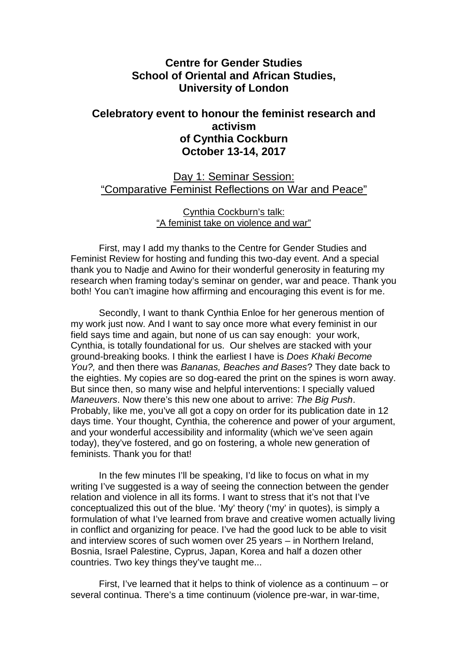## **Centre for Gender Studies School of Oriental and African Studies, University of London**

## **Celebratory event to honour the feminist research and activism of Cynthia Cockburn October 13-14, 2017**

Day 1: Seminar Session: "Comparative Feminist Reflections on War and Peace"

> Cynthia Cockburn's talk: "A feminist take on violence and war"

First, may I add my thanks to the Centre for Gender Studies and Feminist Review for hosting and funding this two-day event. And a special thank you to Nadje and Awino for their wonderful generosity in featuring my research when framing today's seminar on gender, war and peace. Thank you both! You can't imagine how affirming and encouraging this event is for me.

Secondly, I want to thank Cynthia Enloe for her generous mention of my work just now. And I want to say once more what every feminist in our field says time and again, but none of us can say enough: your work, Cynthia, is totally foundational for us. Our shelves are stacked with your ground-breaking books. I think the earliest I have is *Does Khaki Become You?,* and then there was *Bananas, Beaches and Bases*? They date back to the eighties. My copies are so dog-eared the print on the spines is worn away. But since then, so many wise and helpful interventions: I specially valued *Maneuvers*. Now there's this new one about to arrive: *The Big Push*. Probably, like me, you've all got a copy on order for its publication date in 12 days time. Your thought, Cynthia, the coherence and power of your argument, and your wonderful accessibility and informality (which we've seen again today), they've fostered, and go on fostering, a whole new generation of feminists. Thank you for that!

In the few minutes I'll be speaking, I'd like to focus on what in my writing I've suggested is a way of seeing the connection between the gender relation and violence in all its forms. I want to stress that it's not that I've conceptualized this out of the blue. 'My' theory ('my' in quotes), is simply a formulation of what I've learned from brave and creative women actually living in conflict and organizing for peace. I've had the good luck to be able to visit and interview scores of such women over 25 years – in Northern Ireland, Bosnia, Israel Palestine, Cyprus, Japan, Korea and half a dozen other countries. Two key things they've taught me...

First, I've learned that it helps to think of violence as a continuum – or several continua. There's a time continuum (violence pre-war, in war-time,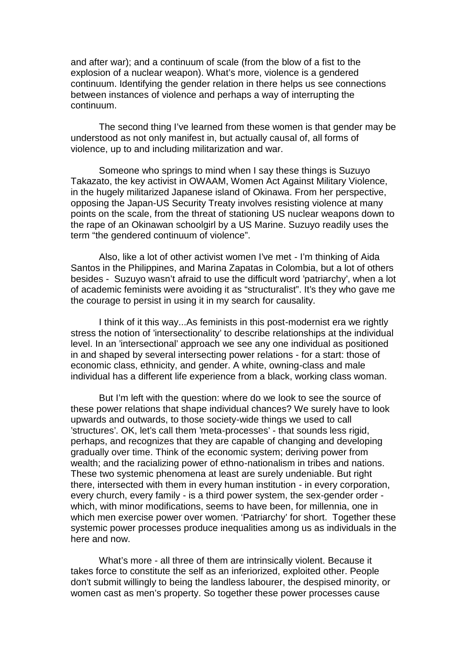and after war); and a continuum of scale (from the blow of a fist to the explosion of a nuclear weapon). What's more, violence is a gendered continuum. Identifying the gender relation in there helps us see connections between instances of violence and perhaps a way of interrupting the continuum.

The second thing I've learned from these women is that gender may be understood as not only manifest in, but actually causal of, all forms of violence, up to and including militarization and war.

Someone who springs to mind when I say these things is Suzuyo Takazato, the key activist in OWAAM, Women Act Against Military Violence, in the hugely militarized Japanese island of Okinawa. From her perspective, opposing the Japan-US Security Treaty involves resisting violence at many points on the scale, from the threat of stationing US nuclear weapons down to the rape of an Okinawan schoolgirl by a US Marine. Suzuyo readily uses the term "the gendered continuum of violence".

Also, like a lot of other activist women I've met - I'm thinking of Aida Santos in the Philippines, and Marina Zapatas in Colombia, but a lot of others besides - Suzuyo wasn't afraid to use the difficult word 'patriarchy', when a lot of academic feminists were avoiding it as "structuralist". It's they who gave me the courage to persist in using it in my search for causality.

I think of it this way...As feminists in this post-modernist era we rightly stress the notion of 'intersectionality' to describe relationships at the individual level. In an 'intersectional' approach we see any one individual as positioned in and shaped by several intersecting power relations - for a start: those of economic class, ethnicity, and gender. A white, owning-class and male individual has a different life experience from a black, working class woman.

But I'm left with the question: where do we look to see the source of these power relations that shape individual chances? We surely have to look upwards and outwards, to those society-wide things we used to call 'structures'. OK, let's call them 'meta-processes' - that sounds less rigid, perhaps, and recognizes that they are capable of changing and developing gradually over time. Think of the economic system; deriving power from wealth; and the racializing power of ethno-nationalism in tribes and nations. These two systemic phenomena at least are surely undeniable. But right there, intersected with them in every human institution - in every corporation, every church, every family - is a third power system, the sex-gender order which, with minor modifications, seems to have been, for millennia, one in which men exercise power over women. 'Patriarchy' for short. Together these systemic power processes produce inequalities among us as individuals in the here and now.

What's more - all three of them are intrinsically violent. Because it takes force to constitute the self as an inferiorized, exploited other. People don't submit willingly to being the landless labourer, the despised minority, or women cast as men's property. So together these power processes cause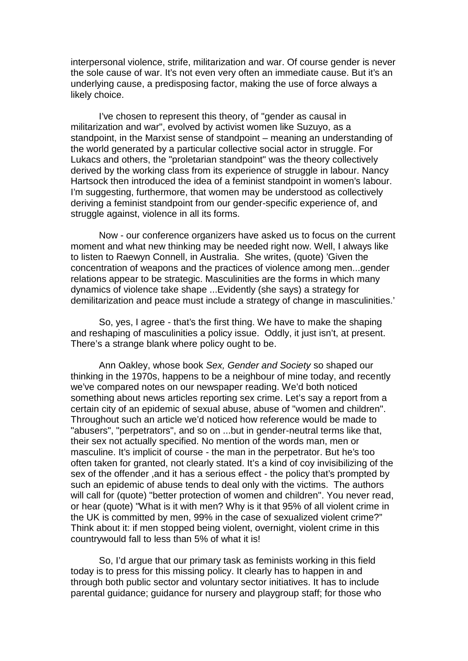interpersonal violence, strife, militarization and war. Of course gender is never the sole cause of war. It's not even very often an immediate cause. But it's an underlying cause, a predisposing factor, making the use of force always a likely choice.

I've chosen to represent this theory, of "gender as causal in militarization and war", evolved by activist women like Suzuyo, as a standpoint, in the Marxist sense of standpoint – meaning an understanding of the world generated by a particular collective social actor in struggle. For Lukacs and others, the "proletarian standpoint" was the theory collectively derived by the working class from its experience of struggle in labour. Nancy Hartsock then introduced the idea of a feminist standpoint in women's labour. I'm suggesting, furthermore, that women may be understood as collectively deriving a feminist standpoint from our gender-specific experience of, and struggle against, violence in all its forms.

Now - our conference organizers have asked us to focus on the current moment and what new thinking may be needed right now. Well, I always like to listen to Raewyn Connell, in Australia. She writes, (quote) 'Given the concentration of weapons and the practices of violence among men...gender relations appear to be strategic. Masculinities are the forms in which many dynamics of violence take shape ...Evidently (she says) a strategy for demilitarization and peace must include a strategy of change in masculinities.'

So, yes, I agree - that's the first thing. We have to make the shaping and reshaping of masculinities a policy issue. Oddly, it just isn't, at present. There's a strange blank where policy ought to be.

Ann Oakley, whose book *Sex, Gender and Society* so shaped our thinking in the 1970s, happens to be a neighbour of mine today, and recently we've compared notes on our newspaper reading. We'd both noticed something about news articles reporting sex crime. Let's say a report from a certain city of an epidemic of sexual abuse, abuse of "women and children". Throughout such an article we'd noticed how reference would be made to "abusers", "perpetrators", and so on ...but in gender-neutral terms like that, their sex not actually specified. No mention of the words man, men or masculine. It's implicit of course - the man in the perpetrator. But he's too often taken for granted, not clearly stated. It's a kind of coy invisibilizing of the sex of the offender ,and it has a serious effect - the policy that's prompted by such an epidemic of abuse tends to deal only with the victims. The authors will call for (quote) "better protection of women and children". You never read, or hear (quote) "What is it with men? Why is it that 95% of all violent crime in the UK is committed by men, 99% in the case of sexualized violent crime?" Think about it: if men stopped being violent, overnight, violent crime in this countrywould fall to less than 5% of what it is!

So, I'd argue that our primary task as feminists working in this field today is to press for this missing policy. It clearly has to happen in and through both public sector and voluntary sector initiatives. It has to include parental guidance; guidance for nursery and playgroup staff; for those who